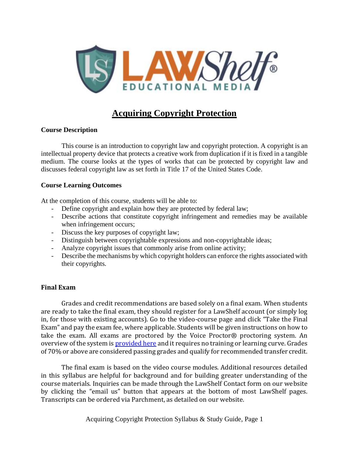

# **Acquiring Copyright Protection**

### **Course Description**

This course is an introduction to copyright law and copyright protection. A copyright is an intellectual property device that protects a creative work from duplication if it is fixed in a tangible medium. The course looks at the types of works that can be protected by copyright law and discusses federal copyright law as set forth in Title 17 of the United States Code.

#### **Course Learning Outcomes**

At the completion of this course, students will be able to:

- Define copyright and explain how they are protected by federal law;
- Describe actions that constitute copyright infringement and remedies may be available when infringement occurs;
- Discuss the key purposes of copyright law;
- Distinguish between copyrightable expressions and non-copyrightable ideas;
- Analyze copyright issues that commonly arise from online activity;
- Describe the mechanisms by which copyright holders can enforce the rights associated with their copyrights.

### **Final Exam**

Grades and credit recommendations are based solely on a final exam. When students are ready to take the final exam, they should register for a LawShelf account (or simply log in, for those with existing accounts). Go to the video-course page and click "Take the Final Exam" and pay the exam fee, where applicable. Students will be given instructions on how to take the exam. All exams are proctored by the Voice Proctor® proctoring system. An overview of the system is **provided here** and it requires no training or learning curve. Grades of 70% or above are considered passing grades and qualify for recommended transfer credit.

The final exam is based on the video course modules. Additional resources detailed in this syllabus are helpful for background and for building greater understanding of the course materials. Inquiries can be made through the LawShelf Contact form on our website by clicking the "email us" button that appears at the bottom of most LawShelf pages. Transcripts can be ordered via Parchment, as detailed on our website.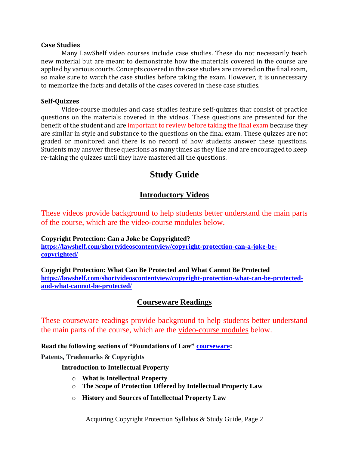#### **Case Studies**

Many LawShelf video courses include case studies. These do not necessarily teach new material but are meant to demonstrate how the materials covered in the course are applied by various courts. Concepts covered in the case studies are covered on the final exam, so make sure to watch the case studies before taking the exam. However, it is unnecessary to memorize the facts and details of the cases covered in these case studies.

### **Self-Quizzes**

Video-course modules and case studies feature self-quizzes that consist of practice questions on the materials covered in the videos. These questions are presented for the benefit of the student and are important to review before taking the final exam because they are similar in style and substance to the questions on the final exam. These quizzes are not graded or monitored and there is no record of how students answer these questions. Students may answer these questions as many times as they like and are encouraged to keep re-taking the quizzes until they have mastered all the questions.

# **Study Guide**

## **Introductory Videos**

These videos provide background to help students better understand the main parts of the course, which are the video-course modules below.

**Copyright Protection: Can a Joke be Copyrighted? [https://lawshelf.com/shortvideoscontentview/copyright-protection-can-a-joke-be](https://lawshelf.com/shortvideoscontentview/copyright-protection-can-a-joke-be-copyrighted/)[copyrighted/](https://lawshelf.com/shortvideoscontentview/copyright-protection-can-a-joke-be-copyrighted/)**

**Copyright Protection: What Can Be Protected and What Cannot Be Protected [https://lawshelf.com/shortvideoscontentview/copyright-protection-what-can-be-protected](https://lawshelf.com/shortvideoscontentview/copyright-protection-what-can-be-protected-and-what-cannot-be-protected/)[and-what-cannot-be-protected/](https://lawshelf.com/shortvideoscontentview/copyright-protection-what-can-be-protected-and-what-cannot-be-protected/)**

### **Courseware Readings**

These courseware readings provide background to help students better understand the main parts of the course, which are the video-course modules below.

**Read the following sections of "Foundations of Law" [courseware:](https://lawshelf.com/coursewareview)**

**Patents, Trademarks & Copyrights**

**Introduction to Intellectual Property**

- o **What is Intellectual Property**
- o **The Scope of Protection Offered by Intellectual Property Law**
- o **History and Sources of Intellectual Property Law**

Acquiring Copyright Protection Syllabus & Study Guide, Page 2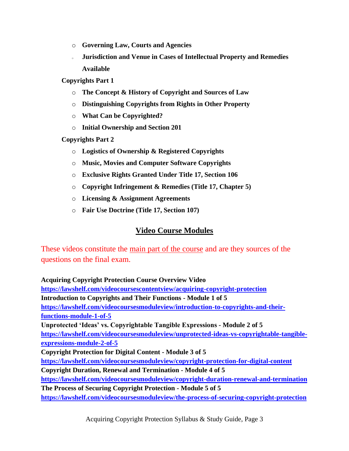- o **Governing Law, Courts and Agencies**
- <sup>o</sup> **Jurisdiction and Venue in Cases of Intellectual Property and Remedies Available**

**Copyrights Part 1**

- o **The Concept & History of Copyright and Sources of Law**
- o **Distinguishing Copyrights from Rights in Other Property**
- o **What Can be Copyrighted?**
- o **Initial Ownership and Section 201**

**Copyrights Part 2**

- o **Logistics of Ownership & Registered Copyrights**
- o **Music, Movies and Computer Software Copyrights**
- o **Exclusive Rights Granted Under Title 17, Section 106**
- o **Copyright Infringement & Remedies (Title 17, Chapter 5)**
- o **Licensing & Assignment Agreements**
- o **Fair Use Doctrine (Title 17, Section 107)**

### **Video Course Modules**

These videos constitute the main part of the course and are they sources of the questions on the final exam.

**Acquiring Copyright Protection Course Overview Video <https://lawshelf.com/videocoursescontentview/acquiring-copyright-protection> Introduction to Copyrights and Their Functions - Module 1 of 5 [https://lawshelf.com/videocoursesmoduleview/introduction-to-copyrights-and-their](https://lawshelf.com/videocoursesmoduleview/introduction-to-copyrights-and-their-functions-module-1-of-5)[functions-module-1-of-5](https://lawshelf.com/videocoursesmoduleview/introduction-to-copyrights-and-their-functions-module-1-of-5) Unprotected 'Ideas' vs. Copyrightable Tangible Expressions - Module 2 of 5 [https://lawshelf.com/videocoursesmoduleview/unprotected-ideas-vs-copyrightable-tangible](https://lawshelf.com/videocoursesmoduleview/unprotected-ideas-vs-copyrightable-tangible-expressions-module-2-of-5)[expressions-module-2-of-5](https://lawshelf.com/videocoursesmoduleview/unprotected-ideas-vs-copyrightable-tangible-expressions-module-2-of-5) Copyright Protection for Digital Content - Module 3 of 5 <https://lawshelf.com/videocoursesmoduleview/copyright-protection-for-digital-content> Copyright Duration, Renewal and Termination - Module 4 of 5 <https://lawshelf.com/videocoursesmoduleview/copyright-duration-renewal-and-termination> The Process of Securing Copyright Protection - Module 5 of 5 <https://lawshelf.com/videocoursesmoduleview/the-process-of-securing-copyright-protection>**